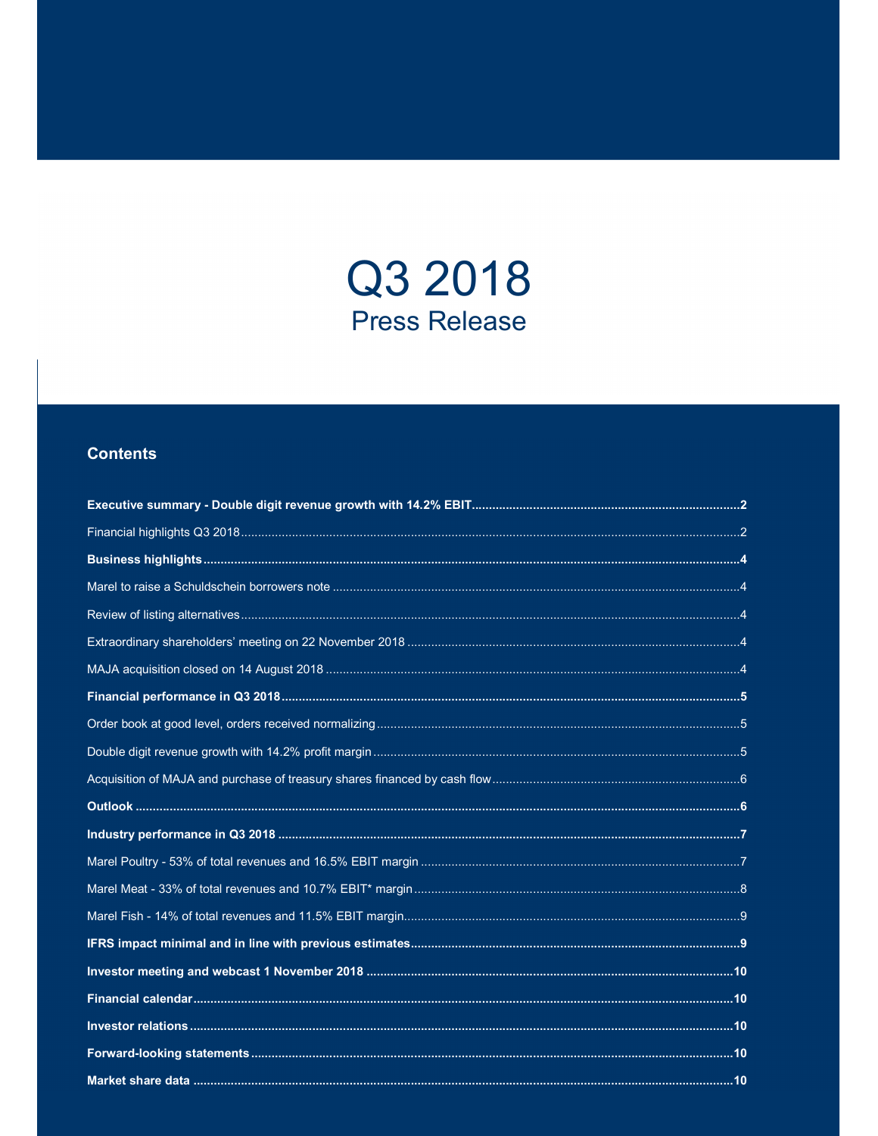

# **Contents**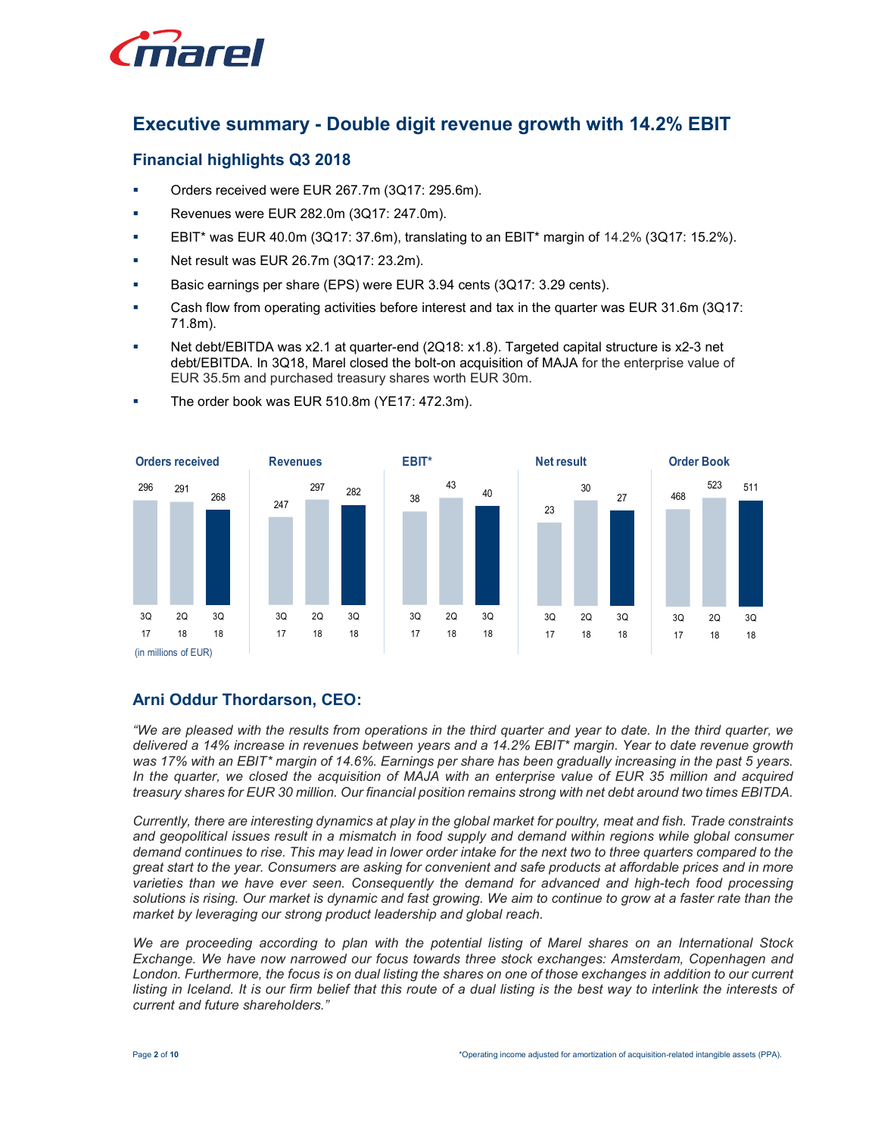

# Executive summary - Double digit revenue growth with 14.2% EBIT

## Financial highlights Q3 2018

- Orders received were EUR 267.7m (3Q17: 295.6m).
- Revenues were EUR 282.0m (3Q17: 247.0m).
- **EBIT\*** was EUR 40.0m (3Q17: 37.6m), translating to an EBIT\* margin of 14.2% (3Q17: 15.2%).
- Net result was EUR 26.7m (3Q17: 23.2m).
- Basic earnings per share (EPS) were EUR 3.94 cents (3Q17: 3.29 cents).
- Cash flow from operating activities before interest and tax in the quarter was EUR 31.6m (3Q17: 71.8m).
- Net debt/EBITDA was x2.1 at quarter-end (2Q18: x1.8). Targeted capital structure is x2-3 net debt/EBITDA. In 3Q18, Marel closed the bolt-on acquisition of MAJA for the enterprise value of EUR 35.5m and purchased treasury shares worth EUR 30m.



The order book was EUR 510.8m (YE17: 472.3m).

## Arni Oddur Thordarson, CEO:

"We are pleased with the results from operations in the third quarter and year to date. In the third quarter, we delivered a 14% increase in revenues between years and a 14.2% EBIT\* margin. Year to date revenue growth was 17% with an EBIT\* margin of 14.6%. Earnings per share has been gradually increasing in the past 5 years. In the quarter, we closed the acquisition of MAJA with an enterprise value of EUR 35 million and acquired treasury shares for EUR 30 million. Our financial position remains strong with net debt around two times EBITDA.

Currently, there are interesting dynamics at play in the global market for poultry, meat and fish. Trade constraints and geopolitical issues result in a mismatch in food supply and demand within regions while global consumer demand continues to rise. This may lead in lower order intake for the next two to three quarters compared to the great start to the year. Consumers are asking for convenient and safe products at affordable prices and in more varieties than we have ever seen. Consequently the demand for advanced and high-tech food processing solutions is rising. Our market is dynamic and fast growing. We aim to continue to grow at a faster rate than the market by leveraging our strong product leadership and global reach.

We are proceeding according to plan with the potential listing of Marel shares on an International Stock Exchange. We have now narrowed our focus towards three stock exchanges: Amsterdam, Copenhagen and London. Furthermore, the focus is on dual listing the shares on one of those exchanges in addition to our current listing in Iceland. It is our firm belief that this route of a dual listing is the best way to interlink the interests of current and future shareholders."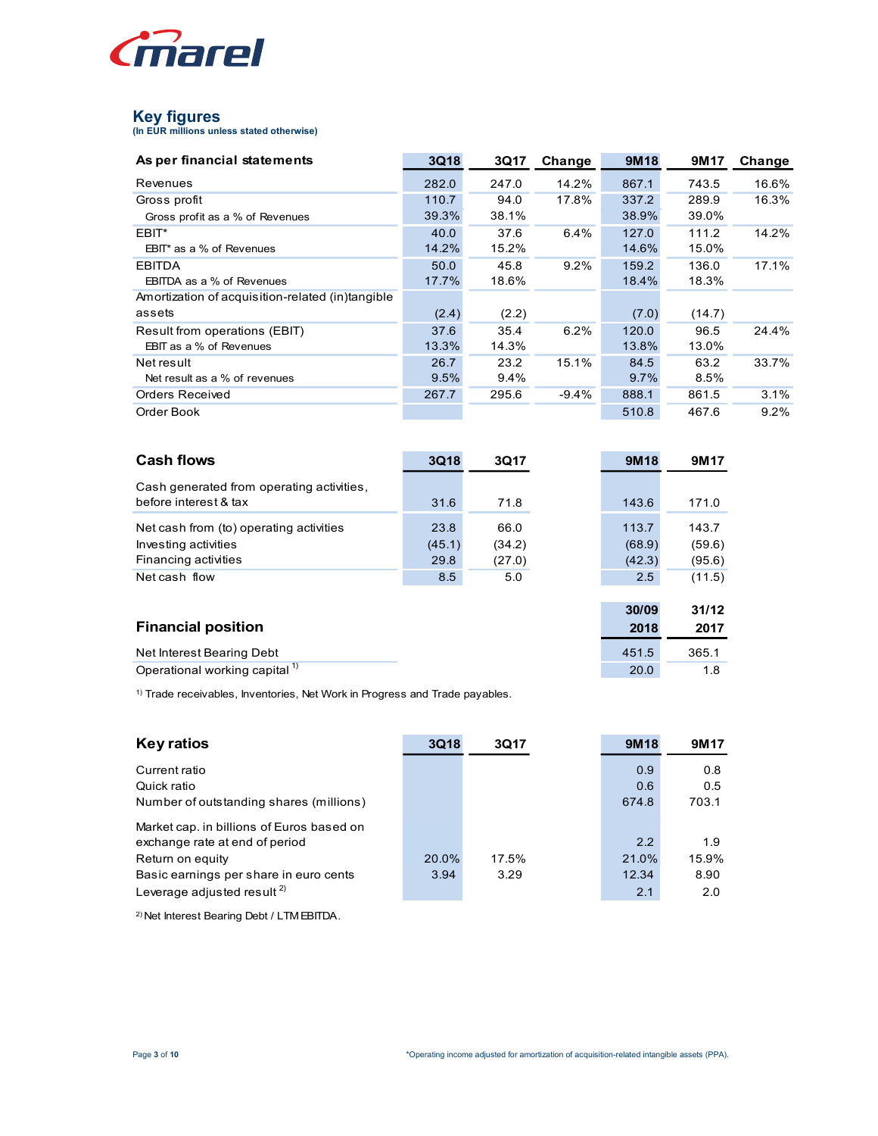

| <i>inarel</i>                                                                          |             |        |         |             |             |        |
|----------------------------------------------------------------------------------------|-------------|--------|---------|-------------|-------------|--------|
|                                                                                        |             |        |         |             |             |        |
|                                                                                        |             |        |         |             |             |        |
|                                                                                        |             |        |         |             |             |        |
| <b>Key figures</b>                                                                     |             |        |         |             |             |        |
| (In EUR millions unless stated otherwise)                                              |             |        |         |             |             |        |
| As per financial statements                                                            | <b>3Q18</b> | 3Q17   | Change  | <b>9M18</b> | <b>9M17</b> | Change |
| Revenues                                                                               | 282.0       | 247.0  | 14.2%   | 867.1       | 743.5       | 16.6%  |
| Gross profit                                                                           | 110.7       | 94.0   | 17.8%   | 337.2       | 289.9       | 16.3%  |
| Gross profit as a % of Revenues                                                        | 39.3%       | 38.1%  |         | 38.9%       | 39.0%       |        |
| EBIT*                                                                                  | 40.0        | 37.6   | 6.4%    | 127.0       | 111.2       | 14.2%  |
| EBIT* as a % of Revenues                                                               | 14.2%       | 15.2%  |         | 14.6%       | 15.0%       |        |
| <b>EBITDA</b>                                                                          | 50.0        | 45.8   | 9.2%    | 159.2       | 136.0       | 17.1%  |
| EBITDA as a % of Revenues                                                              | 17.7%       | 18.6%  |         | 18.4%       | 18.3%       |        |
| Amortization of acquisition-related (in)tangible<br>assets                             | (2.4)       | (2.2)  |         | (7.0)       | (14.7)      |        |
| Result from operations (EBIT)                                                          | 37.6        | 35.4   | 6.2%    | 120.0       | 96.5        | 24.4%  |
| EBIT as a % of Revenues                                                                | 13.3%       | 14.3%  |         | 13.8%       | 13.0%       |        |
| Net result                                                                             | 26.7        | 23.2   | 15.1%   | 84.5        | 63.2        | 33.7%  |
| Net result as a % of revenues                                                          | 9.5%        | 9.4%   |         | 9.7%        | 8.5%        |        |
| Orders Received                                                                        | 267.7       | 295.6  | $-9.4%$ | 888.1       | 861.5       | 3.1%   |
| Order Book                                                                             |             |        |         | 510.8       | 467.6       | 9.2%   |
|                                                                                        |             |        |         |             |             |        |
| <b>Cash flows</b>                                                                      | 3Q18        | 3Q17   |         | <b>9M18</b> | 9M17        |        |
|                                                                                        |             |        |         |             |             |        |
| Cash generated from operating activities,                                              |             |        |         |             |             |        |
| before interest & tax                                                                  | 31.6        | 71.8   |         | 143.6       | 171.0       |        |
| Net cash from (to) operating activities                                                | 23.8        | 66.0   |         | 113.7       | 143.7       |        |
| Investing activities                                                                   | (45.1)      | (34.2) |         | (68.9)      | (59.6)      |        |
| Financing activities                                                                   | 29.8        | (27.0) |         | (42.3)      | (95.6)      |        |
| Net cash flow                                                                          | 8.5         | 5.0    |         | 2.5         | (11.5)      |        |
|                                                                                        |             |        |         |             |             |        |
|                                                                                        |             |        |         | 30/09       | 31/12       |        |
| <b>Financial position</b>                                                              |             |        |         | 2018        | 2017        |        |
| Net Interest Bearing Debt                                                              |             |        |         | 451.5       | 365.1       |        |
| Operational working capital <sup>1)</sup>                                              |             |        |         | 20.0        | 1.8         |        |
| <sup>1)</sup> Trade receivables, Inventories, Net Work in Progress and Trade payables. |             |        |         |             |             |        |
|                                                                                        |             |        |         |             |             |        |

| <b>EBITDA</b><br>50.0<br>9.2%<br>159.2<br>17.1%<br>45.8<br>136.0<br>17.7%<br>18.6%<br>18.4%<br>18.3%<br>EBITDA as a % of Revenues<br>Amortization of acquisition-related (in)tangible<br>(2.2)<br>assets<br>(2.4)<br>(7.0)<br>(14.7)<br>35.4<br>6.2%<br>96.5<br>Result from operations (EBIT)<br>37.6<br>120.0<br>24.4%<br>14.3%<br>EBIT as a % of Revenues<br>13.3%<br>13.8%<br>13.0% |
|----------------------------------------------------------------------------------------------------------------------------------------------------------------------------------------------------------------------------------------------------------------------------------------------------------------------------------------------------------------------------------------|
|                                                                                                                                                                                                                                                                                                                                                                                        |
|                                                                                                                                                                                                                                                                                                                                                                                        |
|                                                                                                                                                                                                                                                                                                                                                                                        |
|                                                                                                                                                                                                                                                                                                                                                                                        |
|                                                                                                                                                                                                                                                                                                                                                                                        |
|                                                                                                                                                                                                                                                                                                                                                                                        |
| 26.7<br>23.2<br>15.1%<br>63.2<br>33.7%<br>84.5<br>Net result                                                                                                                                                                                                                                                                                                                           |
| 9.5%<br>9.4%<br>9.7%<br>8.5%<br>Net result as a % of revenues                                                                                                                                                                                                                                                                                                                          |
| 295.6<br>3.1%<br><b>Orders Received</b><br>267.7<br>$-9.4%$<br>861.5<br>888.1                                                                                                                                                                                                                                                                                                          |
| 467.6<br>9.2%<br>Order Book<br>510.8                                                                                                                                                                                                                                                                                                                                                   |
| <b>Cash flows</b><br><b>3Q18</b><br>3Q17<br><b>9M18</b><br>9M17                                                                                                                                                                                                                                                                                                                        |
|                                                                                                                                                                                                                                                                                                                                                                                        |
| Cash generated from operating activities,                                                                                                                                                                                                                                                                                                                                              |
| before interest & tax<br>31.6<br>71.8<br>143.6<br>171.0                                                                                                                                                                                                                                                                                                                                |
| 23.8<br>66.0<br>143.7<br>Net cash from (to) operating activities<br>113.7                                                                                                                                                                                                                                                                                                              |
| Investing activities<br>(34.2)<br>(68.9)<br>(59.6)<br>(45.1)                                                                                                                                                                                                                                                                                                                           |
| Financing activities<br>(27.0)<br>29.8<br>(42.3)<br>(95.6)                                                                                                                                                                                                                                                                                                                             |
| Net cash flow<br>5.0<br>2.5<br>(11.5)<br>8.5                                                                                                                                                                                                                                                                                                                                           |
|                                                                                                                                                                                                                                                                                                                                                                                        |
| 30/09<br>31/12                                                                                                                                                                                                                                                                                                                                                                         |
| <b>Financial position</b><br>2017<br>2018                                                                                                                                                                                                                                                                                                                                              |
| Net Interest Bearing Debt<br>365.1<br>451.5                                                                                                                                                                                                                                                                                                                                            |
| Operational working capital <sup>1)</sup><br>20.0<br>1.8                                                                                                                                                                                                                                                                                                                               |
|                                                                                                                                                                                                                                                                                                                                                                                        |
| <sup>1)</sup> Trade receivables, Inventories, Net Work in Progress and Trade payables.                                                                                                                                                                                                                                                                                                 |
| <b>Key ratios</b><br>3Q18<br><b>9M18</b><br>3Q17<br>9M17                                                                                                                                                                                                                                                                                                                               |
|                                                                                                                                                                                                                                                                                                                                                                                        |
| Current ratio<br>0.9<br>0.8                                                                                                                                                                                                                                                                                                                                                            |
| 0.6<br>0.5<br>Quick ratio                                                                                                                                                                                                                                                                                                                                                              |
| 703.1<br>Number of outstanding shares (millions)<br>674.8                                                                                                                                                                                                                                                                                                                              |
| Market cap. in billions of Euros based on                                                                                                                                                                                                                                                                                                                                              |
| 2.2<br>1.9<br>exchange rate at end of period                                                                                                                                                                                                                                                                                                                                           |
| 20.0%<br>17.5%<br>21.0%<br>15.9%<br>Return on equity                                                                                                                                                                                                                                                                                                                                   |
| 3.29<br>Basic earnings per share in euro cents<br>3.94<br>12.34<br>8.90                                                                                                                                                                                                                                                                                                                |
| Leverage adjusted result <sup>2)</sup><br>2.1<br>$2.0\,$                                                                                                                                                                                                                                                                                                                               |
|                                                                                                                                                                                                                                                                                                                                                                                        |

| <b>Key ratios</b>                         | 3Q18  | 3Q17  | 9M18  | 9M <sub>17</sub> |
|-------------------------------------------|-------|-------|-------|------------------|
| Current ratio                             |       |       | 0.9   | 0.8              |
| Quick ratio                               |       |       | 0.6   | 0.5              |
| Number of outstanding shares (millions)   |       |       | 674.8 | 703.1            |
| Market cap. in billions of Euros based on |       |       |       |                  |
| exchange rate at end of period            |       |       | 2.2   | 1.9              |
| Return on equity                          | 20.0% | 17.5% | 21.0% | 15.9%            |
| Basic earnings per share in euro cents    | 3.94  | 3.29  | 12.34 | 8.90             |
| Leverage adjusted result $2$              |       |       | 2.1   | 2.0              |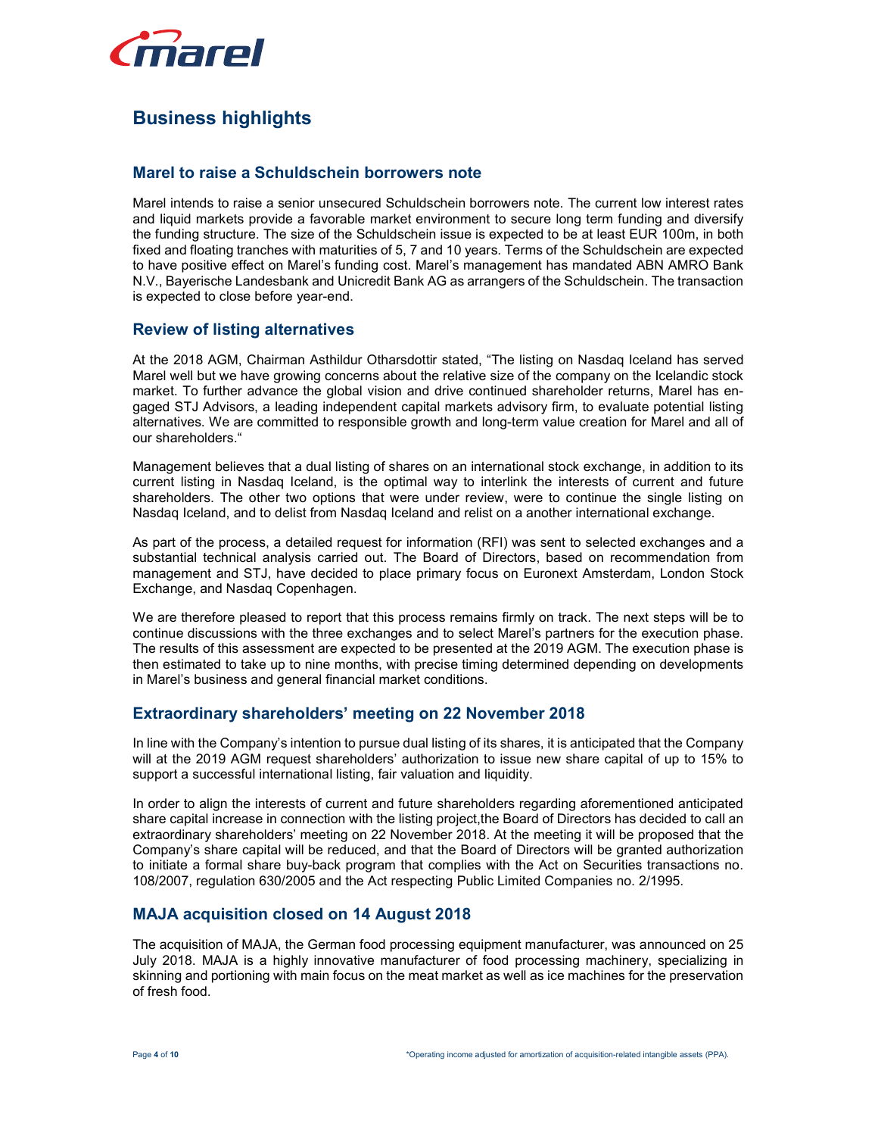

# Business highlights

## Marel to raise a Schuldschein borrowers note

Marel intends to raise a senior unsecured Schuldschein borrowers note. The current low interest rates and liquid markets provide a favorable market environment to secure long term funding and diversify the funding structure. The size of the Schuldschein issue is expected to be at least EUR 100m, in both fixed and floating tranches with maturities of 5, 7 and 10 years. Terms of the Schuldschein are expected to have positive effect on Marel's funding cost. Marel's management has mandated ABN AMRO Bank N.V., Bayerische Landesbank and Unicredit Bank AG as arrangers of the Schuldschein. The transaction is expected to close before year-end.

## Review of listing alternatives

At the 2018 AGM, Chairman Asthildur Otharsdottir stated, "The listing on Nasdaq Iceland has served Marel well but we have growing concerns about the relative size of the company on the Icelandic stock market. To further advance the global vision and drive continued shareholder returns, Marel has engaged STJ Advisors, a leading independent capital markets advisory firm, to evaluate potential listing alternatives. We are committed to responsible growth and long-term value creation for Marel and all of our shareholders."

Management believes that a dual listing of shares on an international stock exchange, in addition to its current listing in Nasdaq Iceland, is the optimal way to interlink the interests of current and future shareholders. The other two options that were under review, were to continue the single listing on Nasdaq Iceland, and to delist from Nasdaq Iceland and relist on a another international exchange.

As part of the process, a detailed request for information (RFI) was sent to selected exchanges and a substantial technical analysis carried out. The Board of Directors, based on recommendation from management and STJ, have decided to place primary focus on Euronext Amsterdam, London Stock Exchange, and Nasdaq Copenhagen.

We are therefore pleased to report that this process remains firmly on track. The next steps will be to continue discussions with the three exchanges and to select Marel's partners for the execution phase. The results of this assessment are expected to be presented at the 2019 AGM. The execution phase is then estimated to take up to nine months, with precise timing determined depending on developments in Marel's business and general financial market conditions.

#### Extraordinary shareholders' meeting on 22 November 2018

In line with the Company's intention to pursue dual listing of its shares, it is anticipated that the Company will at the 2019 AGM request shareholders' authorization to issue new share capital of up to 15% to support a successful international listing, fair valuation and liquidity.

In order to align the interests of current and future shareholders regarding aforementioned anticipated share capital increase in connection with the listing project,the Board of Directors has decided to call an extraordinary shareholders' meeting on 22 November 2018. At the meeting it will be proposed that the Company's share capital will be reduced, and that the Board of Directors will be granted authorization to initiate a formal share buy-back program that complies with the Act on Securities transactions no. 108/2007, regulation 630/2005 and the Act respecting Public Limited Companies no. 2/1995.

## MAJA acquisition closed on 14 August 2018

The acquisition of MAJA, the German food processing equipment manufacturer, was announced on 25 July 2018. MAJA is a highly innovative manufacturer of food processing machinery, specializing in skinning and portioning with main focus on the meat market as well as ice machines for the preservation of fresh food.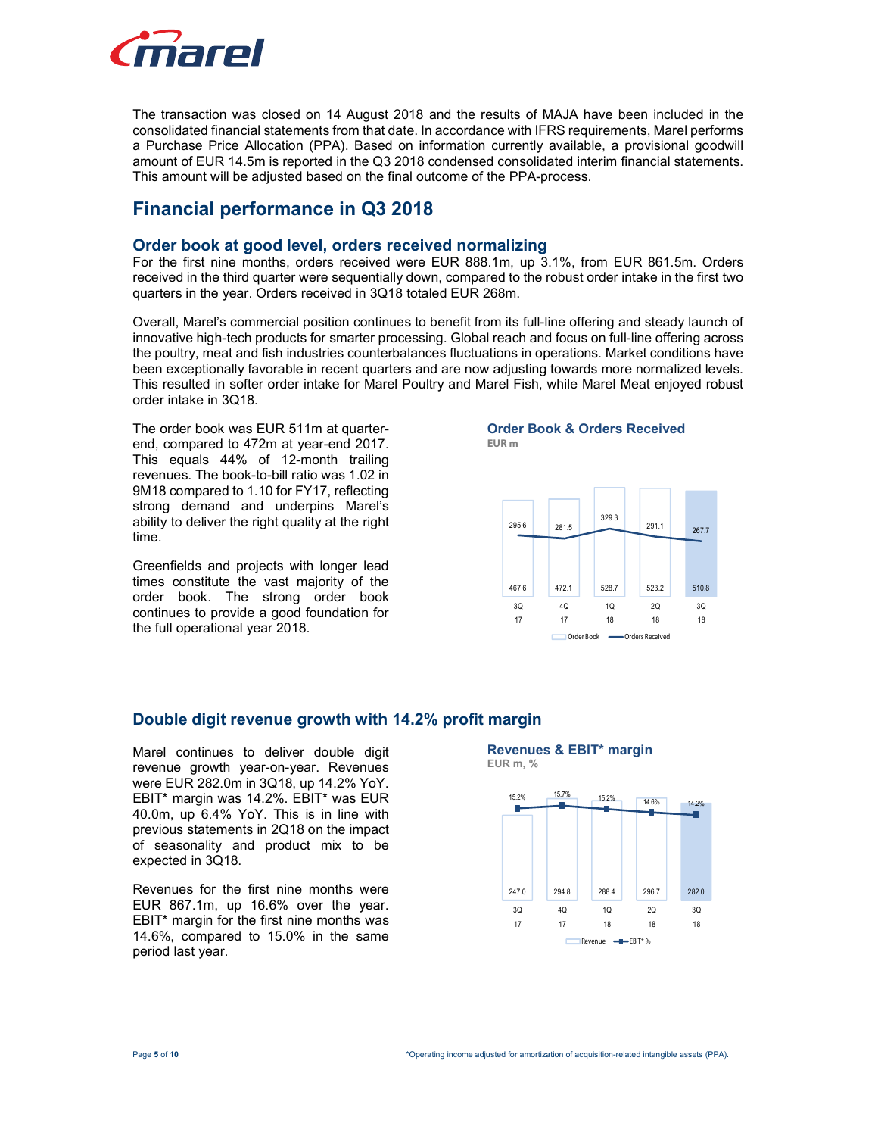

The transaction was closed on 14 August 2018 and the results of MAJA have been included in the consolidated financial statements from that date. In accordance with IFRS requirements, Marel performs a Purchase Price Allocation (PPA). Based on information currently available, a provisional goodwill amount of EUR 14.5m is reported in the Q3 2018 condensed consolidated interim financial statements. This amount will be adjusted based on the final outcome of the PPA-process.

## Financial performance in Q3 2018

#### Order book at good level, orders received normalizing

For the first nine months, orders received were EUR 888.1m, up 3.1%, from EUR 861.5m. Orders received in the third quarter were sequentially down, compared to the robust order intake in the first two quarters in the year. Orders received in 3Q18 totaled EUR 268m.

Overall, Marel's commercial position continues to benefit from its full-line offering and steady launch of innovative high-tech products for smarter processing. Global reach and focus on full-line offering across the poultry, meat and fish industries counterbalances fluctuations in operations. Market conditions have been exceptionally favorable in recent quarters and are now adjusting towards more normalized levels. This resulted in softer order intake for Marel Poultry and Marel Fish, while Marel Meat enjoyed robust order intake in 3Q18.

The order book was EUR 511m at quarterend, compared to 472m at year-end 2017. This equals 44% of 12-month trailing revenues. The book-to-bill ratio was 1.02 in 9M18 compared to 1.10 for FY17, reflecting strong demand and underpins Marel's ability to deliver the right quality at the right time.

Greenfields and projects with longer lead times constitute the vast majority of the order book. The strong order book continues to provide a good foundation for the full operational year 2018.

#### Order Book & Orders Received EUR m



## Double digit revenue growth with 14.2% profit margin

Marel continues to deliver double digit revenue growth year-on-year. Revenues were EUR 282.0m in 3Q18, up 14.2% YoY. EBIT\* margin was 14.2%. EBIT\* was EUR 40.0m, up 6.4% YoY. This is in line with previous statements in 2Q18 on the impact of seasonality and product mix to be expected in 3Q18.

Revenues for the first nine months were EUR 867.1m, up 16.6% over the year. EBIT\* margin for the first nine months was 14.6%, compared to 15.0% in the same period last year.



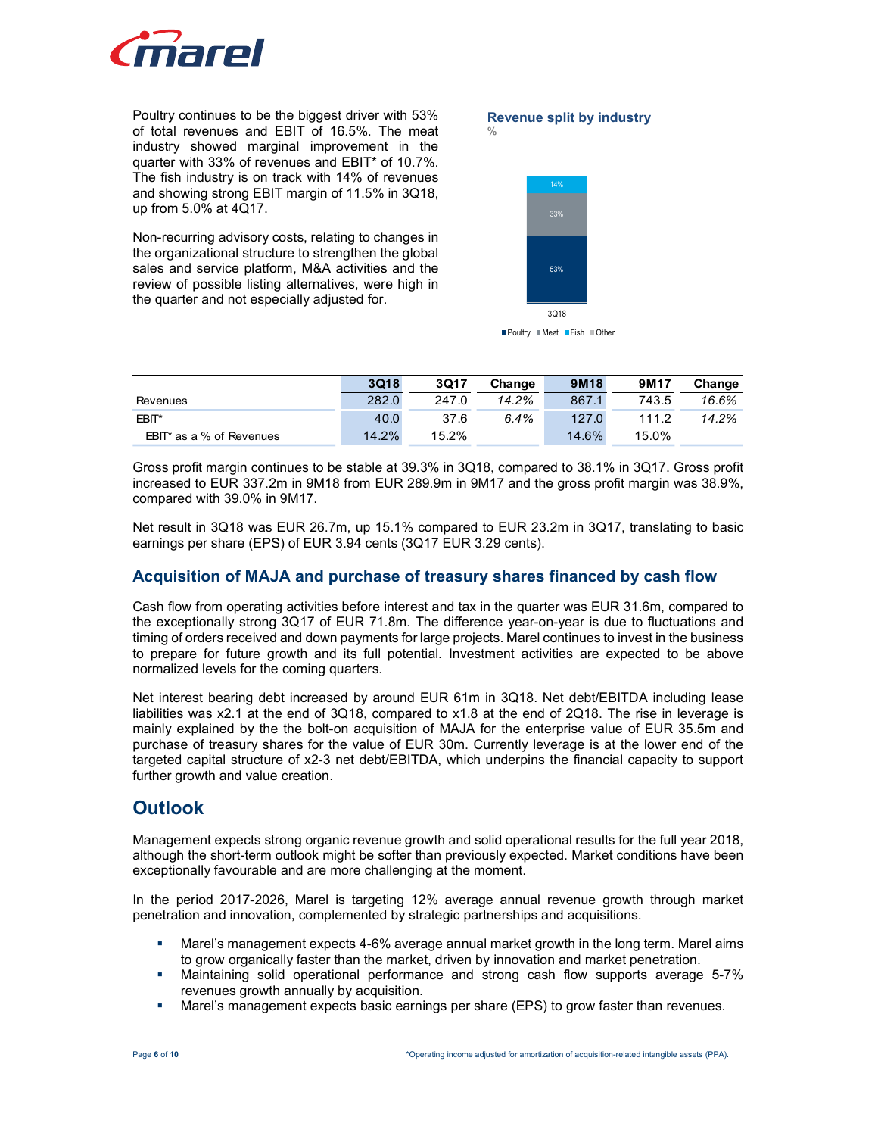

#### Revenue split by industry %



Poultry Meat Fish Other

| <i>finarel</i><br>Poultry continues to be the biggest driver with 53%<br>of total revenues and EBIT of 16.5%. The meat<br>industry showed marginal improvement in the<br>quarter with 33% of revenues and EBIT* of 10.7%.    |       |       | $\frac{0}{0}$ | <b>Revenue split by industry</b> |       |        |  |
|------------------------------------------------------------------------------------------------------------------------------------------------------------------------------------------------------------------------------|-------|-------|---------------|----------------------------------|-------|--------|--|
| The fish industry is on track with 14% of revenues<br>and showing strong EBIT margin of 11.5% in 3Q18,<br>up from 5.0% at 4Q17.                                                                                              |       |       |               | 14%<br>33%                       |       |        |  |
| Non-recurring advisory costs, relating to changes in<br>the organizational structure to strengthen the global<br>sales and service platform, M&A activities and the<br>review of possible listing alternatives, were high in |       |       |               | 53%<br>3Q18                      |       |        |  |
| the quarter and not especially adjusted for.                                                                                                                                                                                 |       |       |               |                                  |       |        |  |
|                                                                                                                                                                                                                              |       |       |               | ■ Poultry ■ Meat ■ Fish ■ Other  |       |        |  |
|                                                                                                                                                                                                                              | 3Q18  | 3Q17  | Change        | 9M18                             | 9M17  | Change |  |
| Revenues                                                                                                                                                                                                                     | 282.0 | 247.0 | 14.2%         | 867.1                            | 743.5 | 16.6%  |  |
| EBIT*                                                                                                                                                                                                                        | 40.0  | 37.6  | 6.4%          | 127.0                            | 111.2 | 14.2%  |  |

Net result in 3Q18 was EUR 26.7m, up 15.1% compared to EUR 23.2m in 3Q17, translating to basic earnings per share (EPS) of EUR 3.94 cents (3Q17 EUR 3.29 cents).

## Acquisition of MAJA and purchase of treasury shares financed by cash flow

Cash flow from operating activities before interest and tax in the quarter was EUR 31.6m, compared to the exceptionally strong 3Q17 of EUR 71.8m. The difference year-on-year is due to fluctuations and timing of orders received and down payments for large projects. Marel continues to invest in the business to prepare for future growth and its full potential. Investment activities are expected to be above normalized levels for the coming quarters.

Net interest bearing debt increased by around EUR 61m in 3Q18. Net debt/EBITDA including lease liabilities was x2.1 at the end of 3Q18, compared to x1.8 at the end of 2Q18. The rise in leverage is mainly explained by the the bolt-on acquisition of MAJA for the enterprise value of EUR 35.5m and purchase of treasury shares for the value of EUR 30m. Currently leverage is at the lower end of the targeted capital structure of x2-3 net debt/EBITDA, which underpins the financial capacity to support further growth and value creation.

## **Outlook**

Management expects strong organic revenue growth and solid operational results for the full year 2018, although the short-term outlook might be softer than previously expected. Market conditions have been exceptionally favourable and are more challenging at the moment.

In the period 2017-2026, Marel is targeting 12% average annual revenue growth through market penetration and innovation, complemented by strategic partnerships and acquisitions.

- Marel's management expects 4-6% average annual market growth in the long term. Marel aims to grow organically faster than the market, driven by innovation and market penetration.
- Maintaining solid operational performance and strong cash flow supports average 5-7% revenues growth annually by acquisition.
- **Marel's management expects basic earnings per share (EPS) to grow faster than revenues.**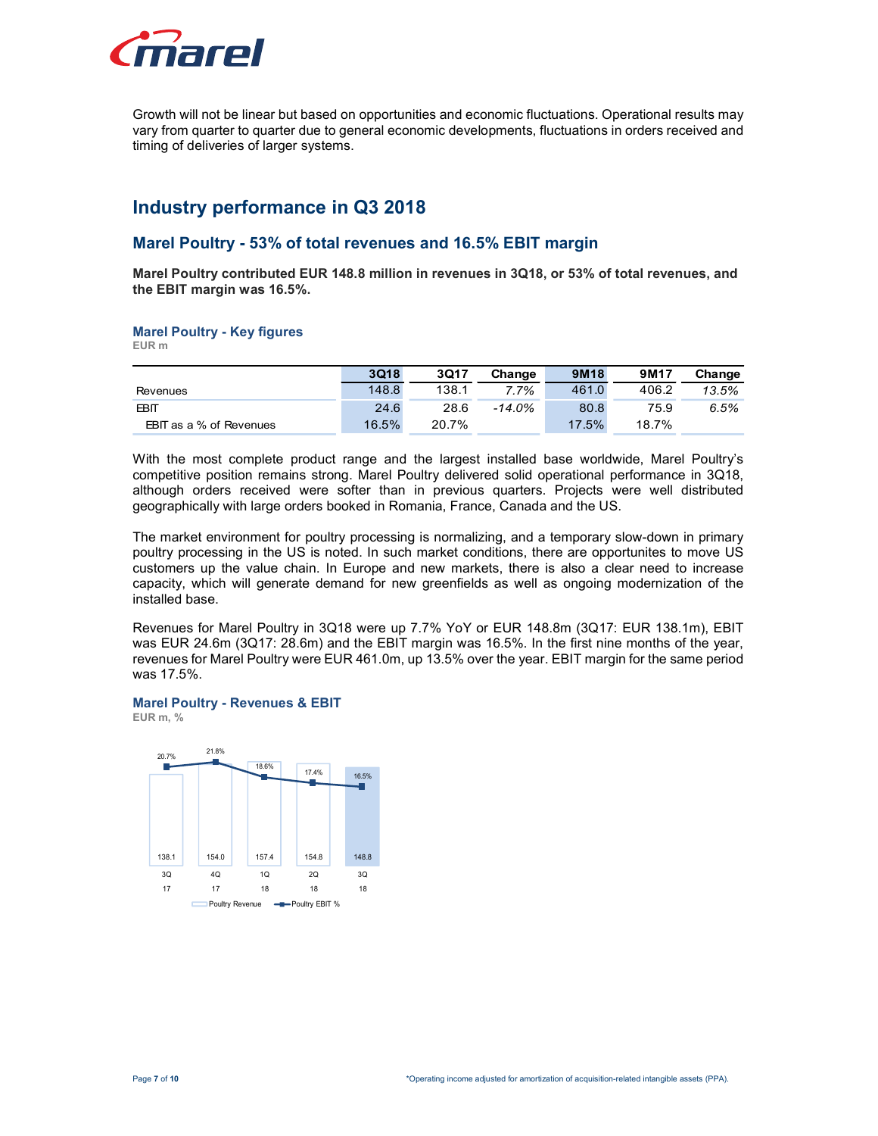

# Industry performance in Q3 2018

#### Marel Poultry - 53% of total revenues and 16.5% EBIT margin

#### Marel Poultry - Key figures

| marel                                                                                                                                                                                                                                                        |       |       |          |       |       |        |
|--------------------------------------------------------------------------------------------------------------------------------------------------------------------------------------------------------------------------------------------------------------|-------|-------|----------|-------|-------|--------|
| Growth will not be linear but based on opportunities and economic fluctuations. Operational results may<br>vary from quarter to quarter due to general economic developments, fluctuations in orders received and<br>timing of deliveries of larger systems. |       |       |          |       |       |        |
|                                                                                                                                                                                                                                                              |       |       |          |       |       |        |
|                                                                                                                                                                                                                                                              |       |       |          |       |       |        |
| Industry performance in Q3 2018<br>Marel Poultry - 53% of total revenues and 16.5% EBIT margin                                                                                                                                                               |       |       |          |       |       |        |
| Marel Poultry contributed EUR 148.8 million in revenues in 3Q18, or 53% of total revenues, and<br>the EBIT margin was 16.5%.                                                                                                                                 |       |       |          |       |       |        |
| <b>Marel Poultry - Key figures</b><br>EUR m                                                                                                                                                                                                                  |       |       |          |       |       |        |
|                                                                                                                                                                                                                                                              | 3Q18  | 3Q17  | Change   | 9M18  | 9M17  | Change |
| Revenues                                                                                                                                                                                                                                                     | 148.8 | 138.1 | 7.7%     | 461.0 | 406.2 | 13.5%  |
| <b>EBIT</b>                                                                                                                                                                                                                                                  | 24.6  | 28.6  | $-14.0%$ | 80.8  | 75.9  | 6.5%   |

The market environment for poultry processing is normalizing, and a temporary slow-down in primary poultry processing in the US is noted. In such market conditions, there are opportunites to move US customers up the value chain. In Europe and new markets, there is also a clear need to increase capacity, which will generate demand for new greenfields as well as ongoing modernization of the installed base. Sugh orders received were softer than in previous quarters. Projects were well distributed<br>praphically with large orders booked in Romania, France, Canada and the US.<br>
Transfer experiment for poutry processing in omeratio raphically with large orders booked in Romania, France, Canada and the US.<br>
market environment for poultry processing is normalizing, and a temporary slow-down in primary<br>
ty processing in the US is noted. In such market market environment for poultry processing is normalizing, and a temporary slow-down in primary<br>
ty processing in the US is noted. In such market conditions, there are opportunites to move US<br>
mense up the value chain, In

Revenues for Marel Poultry in 3Q18 were up 7.7% YoY or EUR 148.8m (3Q17: EUR 138.1m), EBIT was EUR 24.6m (3Q17: 28.6m) and the EBIT margin was 16.5%. In the first nine months of the year, revenues for Marel Poultry were EUR 461.0m, up 13.5% over the year. EBIT margin for the same period was 17.5%.

#### Marel Poultry - Revenues & EBIT

EUR m, %

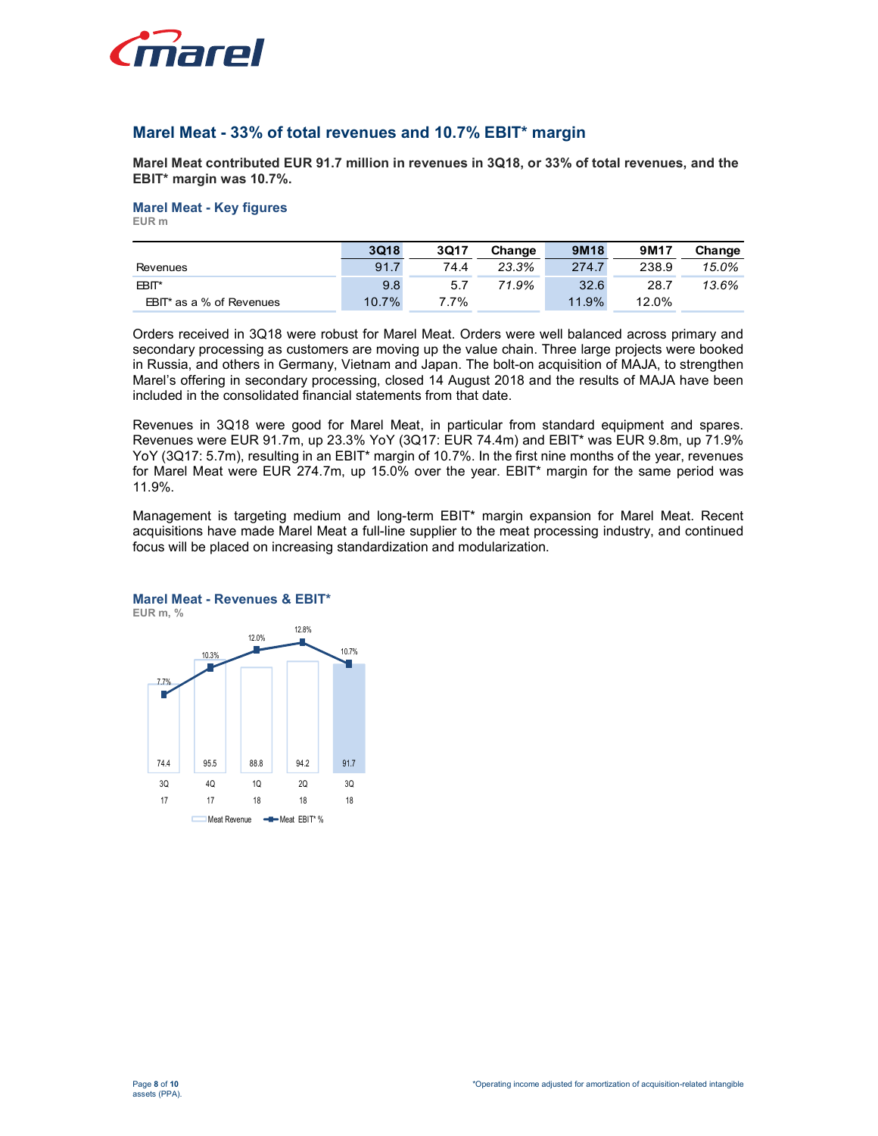

## Marel Meat - 33% of total revenues and 10.7% EBIT\* margin

#### Marel Meat - Key figures

| <i>inarel</i>                                                                                  |      |      |        |       |       |        |
|------------------------------------------------------------------------------------------------|------|------|--------|-------|-------|--------|
|                                                                                                |      |      |        |       |       |        |
|                                                                                                |      |      |        |       |       |        |
|                                                                                                |      |      |        |       |       |        |
|                                                                                                |      |      |        |       |       |        |
|                                                                                                |      |      |        |       |       |        |
|                                                                                                |      |      |        |       |       |        |
|                                                                                                |      |      |        |       |       |        |
|                                                                                                |      |      |        |       |       |        |
| Marel Meat - 33% of total revenues and 10.7% EBIT* margin                                      |      |      |        |       |       |        |
|                                                                                                |      |      |        |       |       |        |
| Marel Meat contributed EUR 91.7 million in revenues in 3Q18, or 33% of total revenues, and the |      |      |        |       |       |        |
| EBIT* margin was 10.7%.                                                                        |      |      |        |       |       |        |
|                                                                                                |      |      |        |       |       |        |
| <b>Marel Meat - Key figures</b>                                                                |      |      |        |       |       |        |
|                                                                                                |      |      |        |       |       |        |
| EUR m                                                                                          |      |      |        |       |       |        |
|                                                                                                | 3Q18 | 3Q17 | Change | 9M18  | 9M17  | Change |
| Revenues                                                                                       | 91.7 | 74.4 | 23.3%  | 274.7 | 238.9 | 15.0%  |
| EBIT*                                                                                          | 9.8  | 5.7  | 71.9%  | 32.6  | 28.7  | 13.6%  |

Orders received in 3Q18 were robust for Marel Meat. Orders were well balanced across primary and secondary processing as customers are moving up the value chain. Three large projects were booked in Russia, and others in Germany, Vietnam and Japan. The bolt-on acquisition of MAJA, to strengthen Marel's offering in secondary processing, closed 14 August 2018 and the results of MAJA have been included in the consolidated financial statements from that date.

Revenues in 3Q18 were good for Marel Meat, in particular from standard equipment and spares. Revenues were EUR 91.7m, up 23.3% YoY (3Q17: EUR 74.4m) and EBIT\* was EUR 9.8m, up 71.9% YoY (3Q17: 5.7m), resulting in an EBIT\* margin of 10.7%. In the first nine months of the year, revenues for Marel Meat were EUR 274.7m, up 15.0% over the year. EBIT\* margin for the same period was 11.9%. and in the consolidated financial statements from that date.<br>
Then 30.18 were good for Marie Meat, in particular from standard equipment and spares.<br>
Then as Work (SQ17: 5.7m), up 23.3% YoY (3Q17: 5LUR 74.4m) and EBIT<sup>+</sup> w entures in 3Q18 were good for Martel Meat, in particular from standard equipment and spares.<br>
Shows Yover GEUR 91.7m, up 23.3% Yover (3Q17: 5UR 74.4m) and EBIT' was EUR 9.8m, up 71.9%<br>
(3Q17: 5.7m), resulting in an EBIT' m

Management is targeting medium and long-term EBIT\* margin expansion for Marel Meat. Recent acquisitions have made Marel Meat a full-line supplier to the meat processing industry, and continued focus will be placed on increasing standardization and modularization.



#### Marel Meat - Revenues & EBIT\* EUR m, %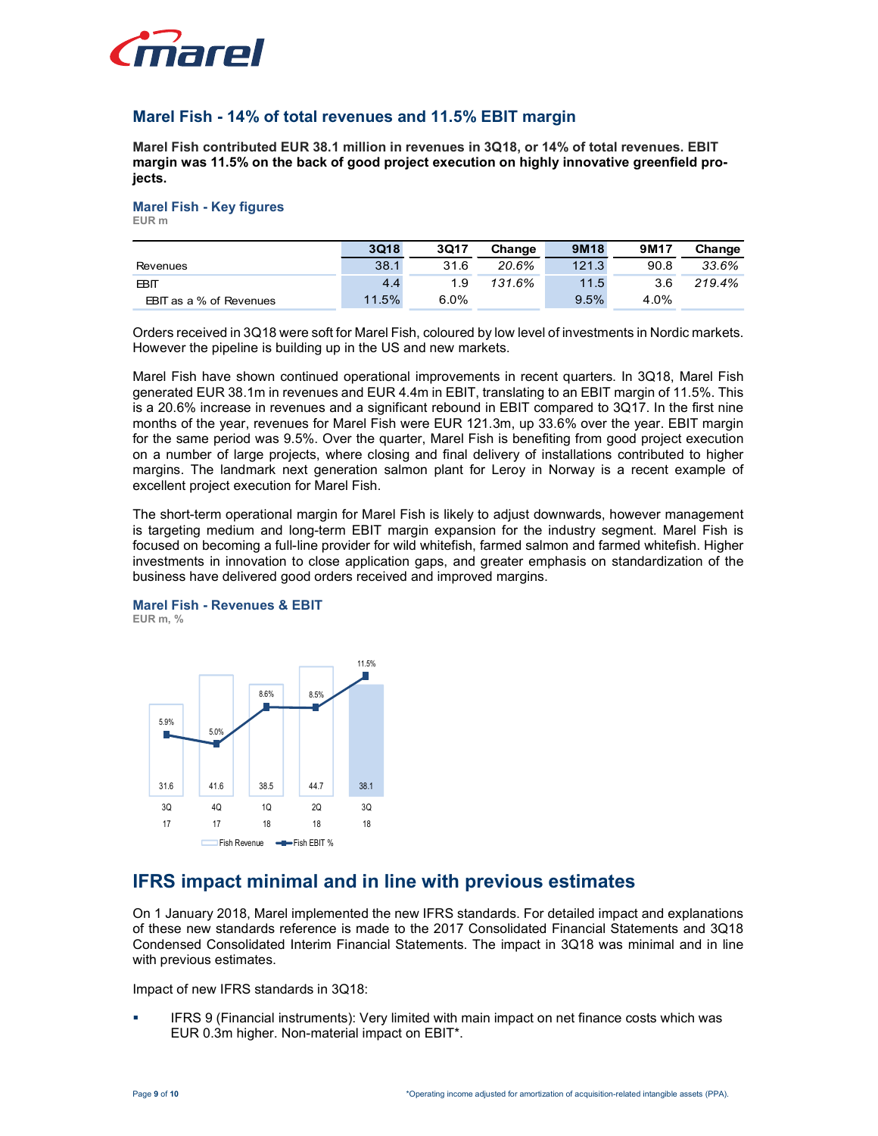

## Marel Fish - 14% of total revenues and 11.5% EBIT margin

#### Marel Fish - Key figures EUR m

| <i>inarel</i>                            |                                                                                             |
|------------------------------------------|---------------------------------------------------------------------------------------------|
|                                          |                                                                                             |
|                                          |                                                                                             |
|                                          |                                                                                             |
|                                          |                                                                                             |
|                                          |                                                                                             |
|                                          | Marel Fish - 14% of total revenues and 11.5% EBIT margin                                    |
|                                          |                                                                                             |
|                                          | Marel Fish contributed EUR 38.1 million in revenues in 3Q18, or 14% of total revenues. EBIT |
|                                          | margin was 11.5% on the back of good project execution on highly innovative greenfield pro- |
| jects.                                   |                                                                                             |
|                                          |                                                                                             |
| <b>Marel Fish - Key figures</b><br>EUR m |                                                                                             |
|                                          |                                                                                             |
|                                          | 3Q17<br>3Q18<br>Change                                                                      |
| Revenues                                 | 38.1<br>31.6<br>20.6%                                                                       |
| <b>EBIT</b><br>EBIT as a % of Revenues   | 4.4<br>1.9<br>131.6%<br>6.0%<br>11.5%                                                       |

Marel Fish have shown continued operational improvements in recent quarters. In 3Q18, Marel Fish generated EUR 38.1m in revenues and EUR 4.4m in EBIT, translating to an EBIT margin of 11.5%. This is a 20.6% increase in revenues and a significant rebound in EBIT compared to 3Q17. In the first nine months of the year, revenues for Marel Fish were EUR 121.3m, up 33.6% over the year. EBIT margin for the same period was 9.5%. Over the quarter, Marel Fish is benefiting from good project execution on a number of large projects, where closing and final delivery of installations contributed to higher margins. The landmark next generation salmon plant for Leroy in Norway is a recent example of excellent project execution for Marel Fish.

The short-term operational margin for Marel Fish is likely to adjust downwards, however management is targeting medium and long-term EBIT margin expansion for the industry segment. Marel Fish is focused on becoming a full-line provider for wild whitefish, farmed salmon and farmed whitefish. Higher investments in innovation to close application gaps, and greater emphasis on standardization of the business have delivered good orders received and improved margins.

#### Marel Fish - Revenues & EBIT EUR m, %



# IFRS impact minimal and in line with previous estimates

On 1 January 2018, Marel implemented the new IFRS standards. For detailed impact and explanations of these new standards reference is made to the 2017 Consolidated Financial Statements and 3Q18 Condensed Consolidated Interim Financial Statements. The impact in 3Q18 was minimal and in line with previous estimates.

Impact of new IFRS standards in 3Q18:

 IFRS 9 (Financial instruments): Very limited with main impact on net finance costs which was EUR 0.3m higher. Non-material impact on EBIT\*.